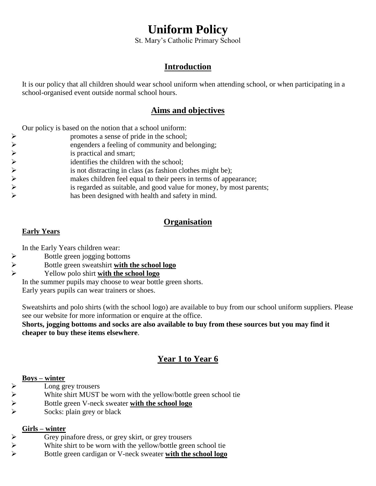# **Uniform Policy**

St. Mary's Catholic Primary School

### **Introduction**

It is our policy that all children should wear school uniform when attending school, or when participating in a school-organised event outside normal school hours.

## **Aims and objectives**

Our policy is based on the notion that a school uniform:

| $\blacktriangleright$ | promotes a sense of pride in the school;                            |
|-----------------------|---------------------------------------------------------------------|
| ➤                     | engenders a feeling of community and belonging;                     |
| ➤                     | is practical and smart;                                             |
| $\blacktriangleright$ | identifies the children with the school;                            |
| $\blacktriangleright$ | is not distracting in class (as fashion clothes might be);          |
| $\blacktriangleright$ | makes children feel equal to their peers in terms of appearance;    |
| $\blacktriangleright$ | is regarded as suitable, and good value for money, by most parents; |
| ➤                     | has been designed with health and safety in mind.                   |

# **Organisation**

#### **Early Years**

In the Early Years children wear:

- $\triangleright$  Bottle green jogging bottoms
- Bottle green sweatshirt **with the school logo**<br>
P Yellow polo shirt **with the school logo**
- Yellow polo shirt **with the school logo**

In the summer pupils may choose to wear bottle green shorts. Early years pupils can wear trainers or shoes.

Sweatshirts and polo shirts (with the school logo) are available to buy from our school uniform suppliers. Please see our website for more information or enquire at the office.

**Shorts, jogging bottoms and socks are also available to buy from these sources but you may find it cheaper to buy these items elsewhere**.

# **Year 1 to Year 6**

#### **Boys – winter**

- 
- White shirt MUST be worn with the yellow/bottle green school tie
- → Long grey trousers<br>
→ White shirt MUST<br>
→ Bottle green V-nec<br>
→ Socks: plain grey o Bottle green V-neck sweater **with the school logo**
- Socks: plain grey or black

#### **Girls – winter**

- 
- Solution Crey pinafore dress, or grey skirt, or grey trousers<br>
Solution White shirt to be worn with the yellow/bottle green<br>
Solution Creen cardian or V-neck sweater with the White shirt to be worn with the yellow/bottle green school tie
- Bottle green cardigan or V-neck sweater **with the school logo**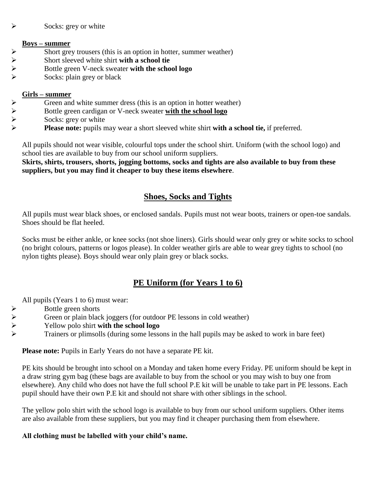#### $\triangleright$  Socks: grey or white

#### **Boys – summer**

- $\triangleright$  Short grey trousers (this is an option in hotter, summer weather)
- 
- Short sleeved white shirt **with a school tie**<br>
Socks: plain grev or black<br>
Socks: plain grev or black Bottle green V-neck sweater **with the school logo**
- Socks: plain grey or black

#### **Girls – summer**

- 
- Green and white summer dress (this is an option in hotter weather)<br>
Bottle green cardigan or V-neck sweater **with the school logo**<br>
Socks: grey or white<br>
Please note: pupils may wear a short sleeved white shirt **with a sch** Bottle green cardigan or V-neck sweater **with the school logo**
- Socks: grey or white
- **Please note:** pupils may wear a short sleeved white shirt **with a school tie,** if preferred.

All pupils should not wear visible, colourful tops under the school shirt. Uniform (with the school logo) and school ties are available to buy from our school uniform suppliers.

**Skirts, shirts, trousers, shorts, jogging bottoms, socks and tights are also available to buy from these suppliers, but you may find it cheaper to buy these items elsewhere**.

## **Shoes, Socks and Tights**

All pupils must wear black shoes, or enclosed sandals. Pupils must not wear boots, trainers or open-toe sandals. Shoes should be flat heeled.

Socks must be either ankle, or knee socks (not shoe liners). Girls should wear only grey or white socks to school (no bright colours, patterns or logos please). In colder weather girls are able to wear grey tights to school (no nylon tights please). Boys should wear only plain grey or black socks.

## **PE Uniform (for Years 1 to 6)**

All pupils (Years 1 to 6) must wear:

- 
- Green or plain black joggers (for outdoor PE lessons in cold weather)
- Bottle green shorts<br>
Freen or plain black<br>
Freen or plain black<br>
Frainers or plimsol Yellow polo shirt **with the school logo**
	- Trainers or plimsolls (during some lessons in the hall pupils may be asked to work in bare feet)

**Please note:** Pupils in Early Years do not have a separate PE kit.

PE kits should be brought into school on a Monday and taken home every Friday. PE uniform should be kept in a draw string gym bag (these bags are available to buy from the school or you may wish to buy one from elsewhere). Any child who does not have the full school P.E kit will be unable to take part in PE lessons. Each pupil should have their own P.E kit and should not share with other siblings in the school.

The yellow polo shirt with the school logo is available to buy from our school uniform suppliers. Other items are also available from these suppliers, but you may find it cheaper purchasing them from elsewhere.

#### **All clothing must be labelled with your child's name.**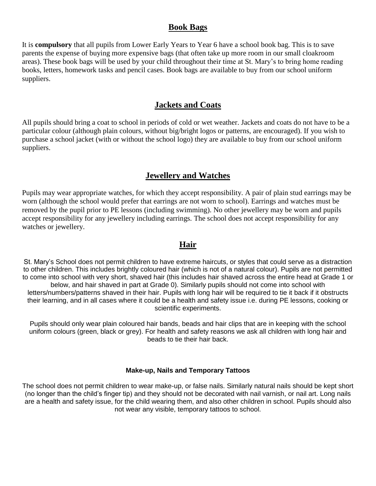#### **Book Bags**

It is **compulsory** that all pupils from Lower Early Years to Year 6 have a school book bag. This is to save parents the expense of buying more expensive bags (that often take up more room in our small cloakroom areas). These book bags will be used by your child throughout their time at St. Mary's to bring home reading books, letters, homework tasks and pencil cases. Book bags are available to buy from our school uniform suppliers.

#### **Jackets and Coats**

All pupils should bring a coat to school in periods of cold or wet weather. Jackets and coats do not have to be a particular colour (although plain colours, without big/bright logos or patterns, are encouraged). If you wish to purchase a school jacket (with or without the school logo) they are available to buy from our school uniform suppliers.

#### **Jewellery and Watches**

Pupils may wear appropriate watches, for which they accept responsibility. A pair of plain stud earrings may be worn (although the school would prefer that earrings are not worn to school). Earrings and watches must be removed by the pupil prior to PE lessons (including swimming). No other jewellery may be worn and pupils accept responsibility for any jewellery including earrings. The school does not accept responsibility for any watches or jewellery.

#### **Hair**

St. Mary's School does not permit children to have extreme haircuts, or styles that could serve as a distraction to other children. This includes brightly coloured hair (which is not of a natural colour). Pupils are not permitted to come into school with very short, shaved hair (this includes hair shaved across the entire head at Grade 1 or below, and hair shaved in part at Grade 0). Similarly pupils should not come into school with letters/numbers/patterns shaved in their hair. Pupils with long hair will be required to tie it back if it obstructs their learning, and in all cases where it could be a health and safety issue i.e. during PE lessons, cooking or scientific experiments.

Pupils should only wear plain coloured hair bands, beads and hair clips that are in keeping with the school uniform colours (green, black or grey). For health and safety reasons we ask all children with long hair and beads to tie their hair back.

#### **Make-up, Nails and Temporary Tattoos**

The school does not permit children to wear make-up, or false nails. Similarly natural nails should be kept short (no longer than the child's finger tip) and they should not be decorated with nail varnish, or nail art. Long nails are a health and safety issue, for the child wearing them, and also other children in school. Pupils should also not wear any visible, temporary tattoos to school.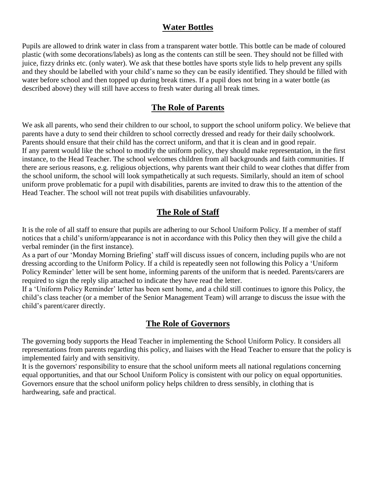### **Water Bottles**

Pupils are allowed to drink water in class from a transparent water bottle. This bottle can be made of coloured plastic (with some decorations/labels) as long as the contents can still be seen. They should not be filled with juice, fizzy drinks etc. (only water). We ask that these bottles have sports style lids to help prevent any spills and they should be labelled with your child's name so they can be easily identified. They should be filled with water before school and then topped up during break times. If a pupil does not bring in a water bottle (as described above) they will still have access to fresh water during all break times.

# **The Role of Parents**

We ask all parents, who send their children to our school, to support the school uniform policy. We believe that parents have a duty to send their children to school correctly dressed and ready for their daily schoolwork. Parents should ensure that their child has the correct uniform, and that it is clean and in good repair. If any parent would like the school to modify the uniform policy, they should make representation, in the first instance, to the Head Teacher. The school welcomes children from all backgrounds and faith communities. If there are serious reasons, e.g. religious objections, why parents want their child to wear clothes that differ from the school uniform, the school will look sympathetically at such requests. Similarly, should an item of school uniform prove problematic for a pupil with disabilities, parents are invited to draw this to the attention of the Head Teacher. The school will not treat pupils with disabilities unfavourably.

# **The Role of Staff**

It is the role of all staff to ensure that pupils are adhering to our School Uniform Policy. If a member of staff notices that a child's uniform/appearance is not in accordance with this Policy then they will give the child a verbal reminder (in the first instance).

As a part of our 'Monday Morning Briefing' staff will discuss issues of concern, including pupils who are not dressing according to the Uniform Policy. If a child is repeatedly seen not following this Policy a 'Uniform Policy Reminder' letter will be sent home, informing parents of the uniform that is needed. Parents/carers are required to sign the reply slip attached to indicate they have read the letter.

If a 'Uniform Policy Reminder' letter has been sent home, and a child still continues to ignore this Policy, the child's class teacher (or a member of the Senior Management Team) will arrange to discuss the issue with the child's parent/carer directly.

### **The Role of Governors**

The governing body supports the Head Teacher in implementing the School Uniform Policy. It considers all representations from parents regarding this policy, and liaises with the Head Teacher to ensure that the policy is implemented fairly and with sensitivity.

It is the governors' responsibility to ensure that the school uniform meets all national regulations concerning equal opportunities, and that our School Uniform Policy is consistent with our policy on equal opportunities. Governors ensure that the school uniform policy helps children to dress sensibly, in clothing that is hardwearing, safe and practical.